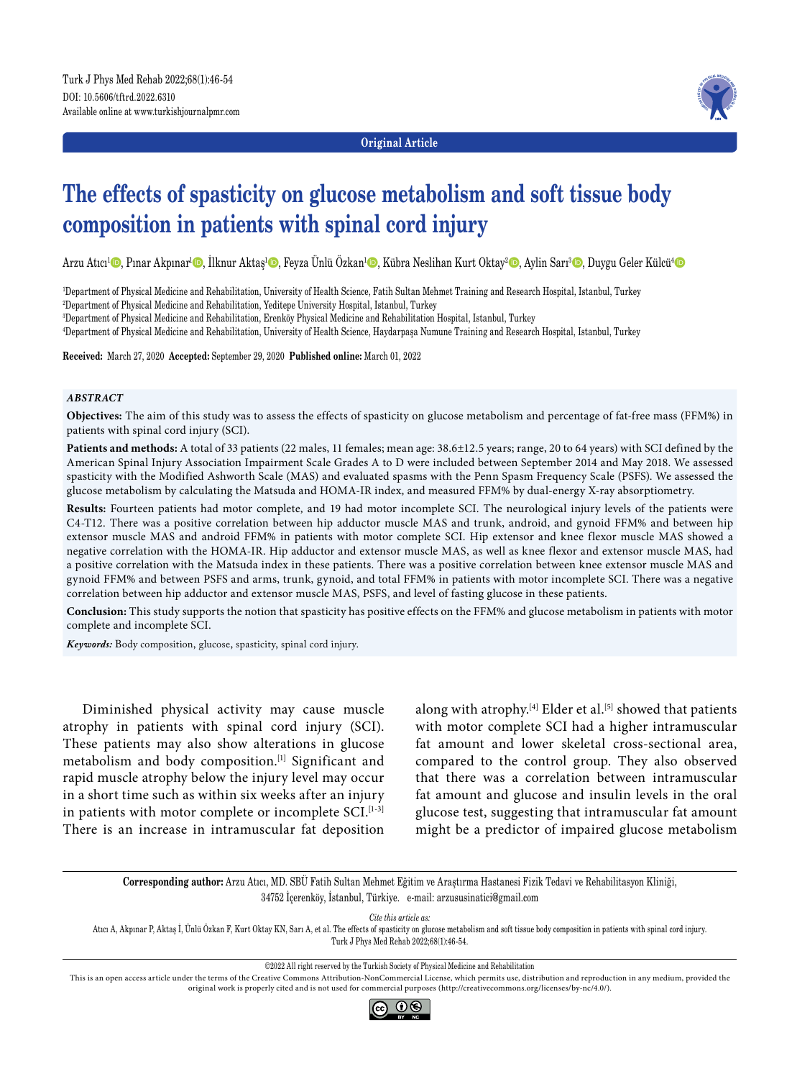

**Original Article**

# **The effects of spasticity on glucose metabolism and soft tissue body composition in patients with spinal cord injury**

Arzu Atıcı<sup>1</sup>©, Pınar Akpınar<sup>ı</sup>©, İlknur Aktaş<sup>ı</sup>©, Feyza Ünlü Özkan<sup>ı</sup>©, Kübra Neslihan Kurt Oktay<sup>2</sup>©, Aylin Sarı<sup>3</sup>©, Duygu Geler Külcü'©

1 Department of Physical Medicine and Rehabilitation, University of Health Science, Fatih Sultan Mehmet Training and Research Hospital, Istanbul, Turkey

2 Department of Physical Medicine and Rehabilitation, Yeditepe University Hospital, Istanbul, Turkey

3 Department of Physical Medicine and Rehabilitation, Erenköy Physical Medicine and Rehabilitation Hospital, Istanbul, Turkey

4 Department of Physical Medicine and Rehabilitation, University of Health Science, Haydarpaşa Numune Training and Research Hospital, Istanbul, Turkey

**Received:** March 27, 2020 **Accepted:** September 29, 2020 **Published online:** March 01, 2022

### *ABSTRACT*

**Objectives:** The aim of this study was to assess the effects of spasticity on glucose metabolism and percentage of fat-free mass (FFM%) in patients with spinal cord injury (SCI).

**Patients and methods:** A total of 33 patients (22 males, 11 females; mean age: 38.6±12.5 years; range, 20 to 64 years) with SCI defined by the American Spinal Injury Association Impairment Scale Grades A to D were included between September 2014 and May 2018. We assessed spasticity with the Modified Ashworth Scale (MAS) and evaluated spasms with the Penn Spasm Frequency Scale (PSFS). We assessed the glucose metabolism by calculating the Matsuda and HOMA-IR index, and measured FFM% by dual-energy X-ray absorptiometry.

**Results:** Fourteen patients had motor complete, and 19 had motor incomplete SCI. The neurological injury levels of the patients were C4-T12. There was a positive correlation between hip adductor muscle MAS and trunk, android, and gynoid FFM% and between hip extensor muscle MAS and android FFM% in patients with motor complete SCI. Hip extensor and knee flexor muscle MAS showed a negative correlation with the HOMA-IR. Hip adductor and extensor muscle MAS, as well as knee flexor and extensor muscle MAS, had a positive correlation with the Matsuda index in these patients. There was a positive correlation between knee extensor muscle MAS and gynoid FFM% and between PSFS and arms, trunk, gynoid, and total FFM% in patients with motor incomplete SCI. There was a negative correlation between hip adductor and extensor muscle MAS, PSFS, and level of fasting glucose in these patients.

**Conclusion:** This study supports the notion that spasticity has positive effects on the FFM% and glucose metabolism in patients with motor complete and incomplete SCI.

*Keywords:* Body composition, glucose, spasticity, spinal cord injury.

Diminished physical activity may cause muscle atrophy in patients with spinal cord injury (SCI). These patients may also show alterations in glucose metabolism and body composition.[1] Significant and rapid muscle atrophy below the injury level may occur in a short time such as within six weeks after an injury in patients with motor complete or incomplete  $SCI$ .  $[1-3]$ There is an increase in intramuscular fat deposition along with atrophy.<sup>[4]</sup> Elder et al.<sup>[5]</sup> showed that patients with motor complete SCI had a higher intramuscular fat amount and lower skeletal cross-sectional area, compared to the control group. They also observed that there was a correlation between intramuscular fat amount and glucose and insulin levels in the oral glucose test, suggesting that intramuscular fat amount might be a predictor of impaired glucose metabolism

**Corresponding author:** Arzu Atıcı, MD. SBÜ Fatih Sultan Mehmet Eğitim ve Araştırma Hastanesi Fizik Tedavi ve Rehabilitasyon Kliniği, 34752 İçerenköy, İstanbul, Türkiye. e-mail: arzususinatici@gmail.com

*Cite this article as:*

Atıcı A, Akpınar P, Aktaş İ, Ünlü Özkan F, Kurt Oktay KN, Sarı A, et al. The effects of spasticity on glucose metabolism and soft tissue body composition in patients with spinal cord injury. Turk J Phys Med Rehab 2022;68(1):46-54.

©2022 All right reserved by the Turkish Society of Physical Medicine and Rehabilitation

This is an open access article under the terms of the Creative Commons Attribution-NonCommercial License, which permits use, distribution and reproduction in any medium, provided the original work is properly cited and is not used for commercial purposes (http://creativecommons.org/licenses/by-nc/4.0/).

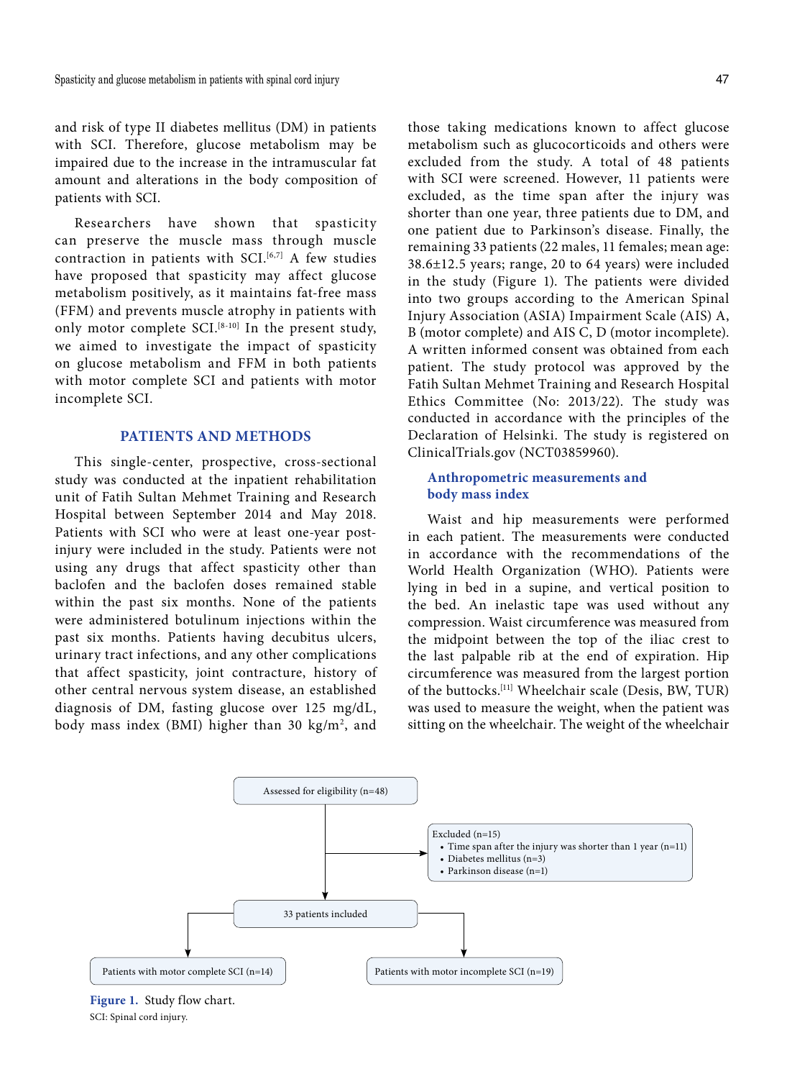and risk of type II diabetes mellitus (DM) in patients with SCI. Therefore, glucose metabolism may be impaired due to the increase in the intramuscular fat amount and alterations in the body composition of patients with SCI.

Researchers have shown that spasticity can preserve the muscle mass through muscle contraction in patients with SCI.<sup>[6,7]</sup> A few studies have proposed that spasticity may affect glucose metabolism positively, as it maintains fat-free mass (FFM) and prevents muscle atrophy in patients with only motor complete SCI.<sup>[8-10]</sup> In the present study, we aimed to investigate the impact of spasticity on glucose metabolism and FFM in both patients with motor complete SCI and patients with motor incomplete SCI.

# **PATIENTS AND METHODS**

This single-center, prospective, cross-sectional study was conducted at the inpatient rehabilitation unit of Fatih Sultan Mehmet Training and Research Hospital between September 2014 and May 2018. Patients with SCI who were at least one-year postinjury were included in the study. Patients were not using any drugs that affect spasticity other than baclofen and the baclofen doses remained stable within the past six months. None of the patients were administered botulinum injections within the past six months. Patients having decubitus ulcers, urinary tract infections, and any other complications that affect spasticity, joint contracture, history of other central nervous system disease, an established diagnosis of DM, fasting glucose over 125 mg/dL, body mass index (BMI) higher than 30 kg/m<sup>2</sup>, and those taking medications known to affect glucose metabolism such as glucocorticoids and others were excluded from the study. A total of 48 patients with SCI were screened. However, 11 patients were excluded, as the time span after the injury was shorter than one year, three patients due to DM, and one patient due to Parkinson's disease. Finally, the remaining 33 patients (22 males, 11 females; mean age: 38.6±12.5 years; range, 20 to 64 years) were included in the study (Figure 1). The patients were divided into two groups according to the American Spinal Injury Association (ASIA) Impairment Scale (AIS) A, B (motor complete) and AIS C, D (motor incomplete). A written informed consent was obtained from each patient. The study protocol was approved by the Fatih Sultan Mehmet Training and Research Hospital Ethics Committee (No: 2013/22). The study was conducted in accordance with the principles of the Declaration of Helsinki. The study is registered on

# **Anthropometric measurements and body mass index**

ClinicalTrials.gov (NCT03859960).

Waist and hip measurements were performed in each patient. The measurements were conducted in accordance with the recommendations of the World Health Organization (WHO). Patients were lying in bed in a supine, and vertical position to the bed. An inelastic tape was used without any compression. Waist circumference was measured from the midpoint between the top of the iliac crest to the last palpable rib at the end of expiration. Hip circumference was measured from the largest portion of the buttocks.[11] Wheelchair scale (Desis, BW, TUR) was used to measure the weight, when the patient was sitting on the wheelchair. The weight of the wheelchair



**Figure 1.** Study flow chart. SCI: Spinal cord injury.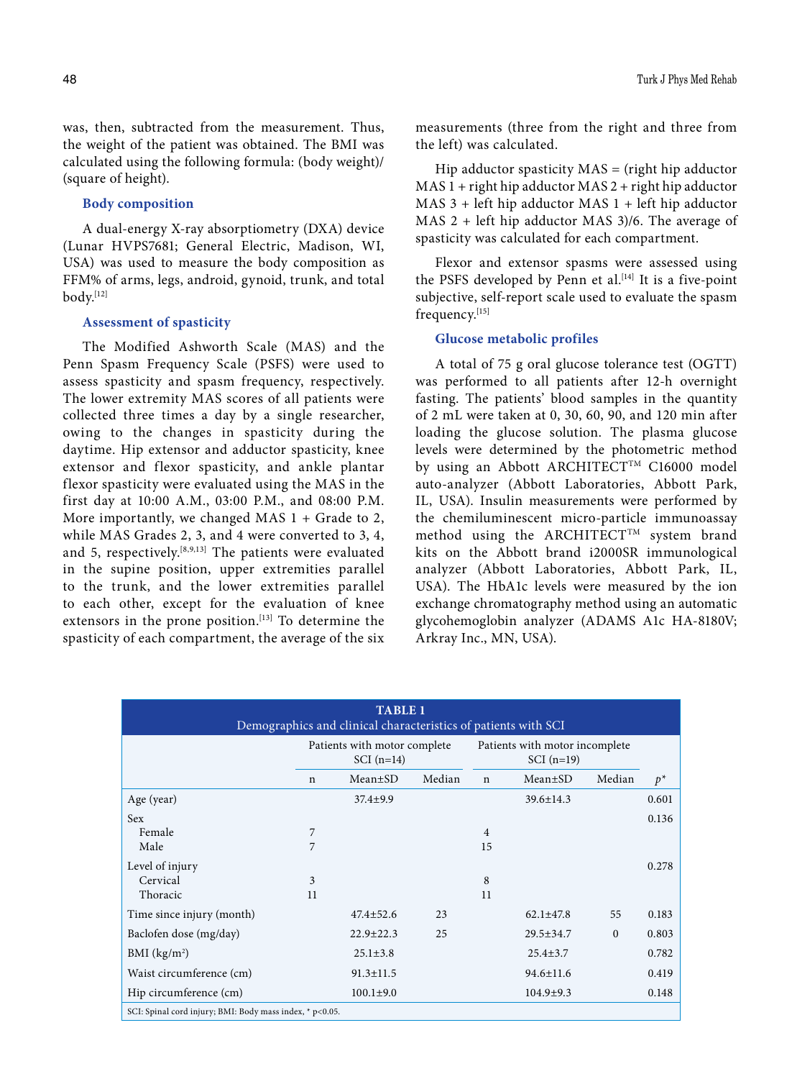was, then, subtracted from the measurement. Thus, the weight of the patient was obtained. The BMI was calculated using the following formula: (body weight)/ (square of height).

# **Body composition**

A dual-energy X-ray absorptiometry (DXA) device (Lunar HVPS7681; General Electric, Madison, WI, USA) was used to measure the body composition as FFM% of arms, legs, android, gynoid, trunk, and total body.[12]

## **Assessment of spasticity**

The Modified Ashworth Scale (MAS) and the Penn Spasm Frequency Scale (PSFS) were used to assess spasticity and spasm frequency, respectively. The lower extremity MAS scores of all patients were collected three times a day by a single researcher, owing to the changes in spasticity during the daytime. Hip extensor and adductor spasticity, knee extensor and flexor spasticity, and ankle plantar flexor spasticity were evaluated using the MAS in the first day at 10:00 A.M., 03:00 P.M., and 08:00 P.M. More importantly, we changed MAS  $1 +$  Grade to 2, while MAS Grades 2, 3, and 4 were converted to 3, 4, and 5, respectively.<sup>[8,9,13]</sup> The patients were evaluated in the supine position, upper extremities parallel to the trunk, and the lower extremities parallel to each other, except for the evaluation of knee extensors in the prone position.<sup>[13]</sup> To determine the spasticity of each compartment, the average of the six measurements (three from the right and three from the left) was calculated.

Hip adductor spasticity  $MAS = (right hip adductor)$  $MAS 1 + right hip adductor MAS 2 + right hip adductor$ MAS 3 + left hip adductor MAS 1 + left hip adductor MAS 2 + left hip adductor MAS 3)/6. The average of spasticity was calculated for each compartment.

Flexor and extensor spasms were assessed using the PSFS developed by Penn et al.<sup>[14]</sup> It is a five-point subjective, self-report scale used to evaluate the spasm frequency.[15]

## **Glucose metabolic profiles**

A total of 75 g oral glucose tolerance test (OGTT) was performed to all patients after 12-h overnight fasting. The patients' blood samples in the quantity of 2 mL were taken at 0, 30, 60, 90, and 120 min after loading the glucose solution. The plasma glucose levels were determined by the photometric method by using an Abbott ARCHITECT<sup>TM</sup> C16000 model auto-analyzer (Abbott Laboratories, Abbott Park, IL, USA). Insulin measurements were performed by the chemiluminescent micro-particle immunoassay method using the ARCHITECT<sup>TM</sup> system brand kits on the Abbott brand i2000SR immunological analyzer (Abbott Laboratories, Abbott Park, IL, USA). The HbA1c levels were measured by the ion exchange chromatography method using an automatic glycohemoglobin analyzer (ADAMS A1c HA-8180V; Arkray Inc., MN, USA).

| <b>TABLE 1</b><br>Demographics and clinical characteristics of patients with SCI |                                  |                                             |    |                                |                                        |              |       |  |  |  |
|----------------------------------------------------------------------------------|----------------------------------|---------------------------------------------|----|--------------------------------|----------------------------------------|--------------|-------|--|--|--|
|                                                                                  |                                  | Patients with motor complete<br>$SCI(n=14)$ |    | Patients with motor incomplete |                                        |              |       |  |  |  |
|                                                                                  | Median<br>Mean±SD<br>$\mathbf n$ |                                             |    |                                | Median<br>$Mean \pm SD$<br>$\mathbf n$ |              |       |  |  |  |
| Age (year)                                                                       |                                  | $37.4 \pm 9.9$                              |    |                                | $39.6 \pm 14.3$                        |              | 0.601 |  |  |  |
| <b>Sex</b>                                                                       |                                  |                                             |    |                                |                                        |              | 0.136 |  |  |  |
| Female                                                                           | 7                                |                                             |    | $\overline{4}$                 |                                        |              |       |  |  |  |
| Male                                                                             | 7                                |                                             |    | 15                             |                                        |              |       |  |  |  |
| Level of injury                                                                  |                                  |                                             |    |                                |                                        |              | 0.278 |  |  |  |
| Cervical                                                                         | 3                                |                                             |    | 8                              |                                        |              |       |  |  |  |
| Thoracic                                                                         | 11                               |                                             |    | 11                             |                                        |              |       |  |  |  |
| Time since injury (month)                                                        |                                  | $47.4 + 52.6$                               | 23 |                                | $62.1 \pm 47.8$                        | 55           | 0.183 |  |  |  |
| Baclofen dose (mg/day)                                                           |                                  | $22.9 \pm 22.3$                             | 25 |                                | $29.5 \pm 34.7$                        | $\mathbf{0}$ | 0.803 |  |  |  |
| BMI (kg/m <sup>2</sup> )                                                         |                                  | $25.1 \pm 3.8$                              |    |                                | $25.4 \pm 3.7$                         |              | 0.782 |  |  |  |
| Waist circumference (cm)                                                         |                                  | $91.3 \pm 11.5$                             |    |                                | $94.6 \pm 11.6$                        |              | 0.419 |  |  |  |
| Hip circumference (cm)                                                           |                                  | $100.1 \pm 9.0$                             |    |                                | $104.9 \pm 9.3$                        |              | 0.148 |  |  |  |
| SCI: Spinal cord injury; BMI: Body mass index, * p<0.05.                         |                                  |                                             |    |                                |                                        |              |       |  |  |  |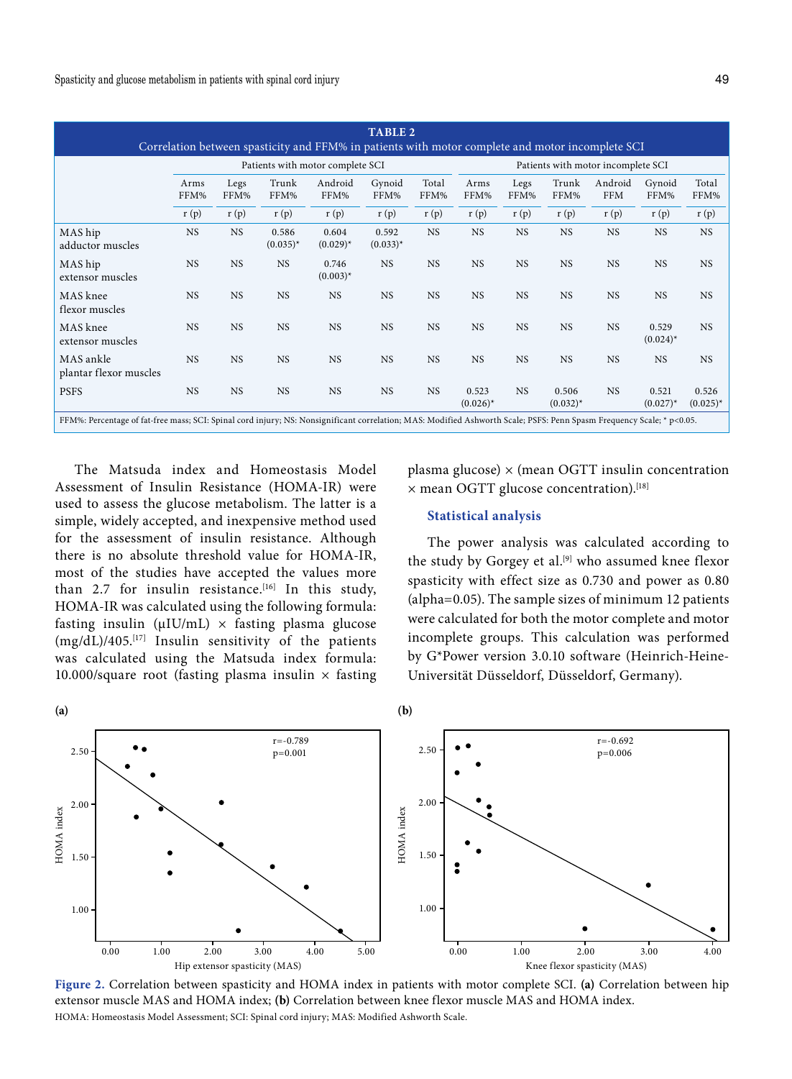| <b>TABLE 2</b><br>Correlation between spasticity and FFM% in patients with motor complete and motor incomplete SCI                                                    |                                  |           |                      |                      |                      |               |                      |                                    |                        |                       |                        |                      |  |  |
|-----------------------------------------------------------------------------------------------------------------------------------------------------------------------|----------------------------------|-----------|----------------------|----------------------|----------------------|---------------|----------------------|------------------------------------|------------------------|-----------------------|------------------------|----------------------|--|--|
|                                                                                                                                                                       | Patients with motor complete SCI |           |                      |                      |                      |               |                      | Patients with motor incomplete SCI |                        |                       |                        |                      |  |  |
|                                                                                                                                                                       | Legs<br>Arms<br>FFM%<br>FFM%     |           | Trunk<br>FFM%        | Android<br>FFM%      | Gynoid<br>FFM%       | Total<br>FFM% | Arms<br>FFM%         | Legs<br>FFM%                       | Trunk<br>FFM%          | Android<br><b>FFM</b> | Gynoid<br>FFM%         | Total<br>FFM%        |  |  |
|                                                                                                                                                                       | r(p)                             | r(p)      | r(p)                 | r(p)                 | r(p)                 | r(p)          | r(p)                 | r(p)                               | r(p)                   | r(p)                  | r(p)                   | r(p)                 |  |  |
| MAS hip<br>adductor muscles                                                                                                                                           | <b>NS</b>                        | <b>NS</b> | 0.586<br>$(0.035)^*$ | 0.604<br>$(0.029)^*$ | 0.592<br>$(0.033)^*$ | <b>NS</b>     | <b>NS</b>            | <b>NS</b>                          | <b>NS</b>              | <b>NS</b>             | <b>NS</b>              | <b>NS</b>            |  |  |
| MAS hip<br>extensor muscles                                                                                                                                           | <b>NS</b>                        | <b>NS</b> | <b>NS</b>            | 0.746<br>$(0.003)^*$ | <b>NS</b>            | <b>NS</b>     | <b>NS</b>            | <b>NS</b>                          | <b>NS</b>              | <b>NS</b>             | <b>NS</b>              | <b>NS</b>            |  |  |
| MAS knee<br>flexor muscles                                                                                                                                            | <b>NS</b>                        | <b>NS</b> | <b>NS</b>            | <b>NS</b>            | <b>NS</b>            | <b>NS</b>     | <b>NS</b>            | <b>NS</b>                          | <b>NS</b>              | <b>NS</b>             | <b>NS</b>              | <b>NS</b>            |  |  |
| MAS knee<br>extensor muscles                                                                                                                                          | <b>NS</b>                        | <b>NS</b> | <b>NS</b>            | <b>NS</b>            | <b>NS</b>            | <b>NS</b>     | <b>NS</b>            | <b>NS</b>                          | <b>NS</b>              | <b>NS</b>             | 0.529<br>$(0.024)^{*}$ | <b>NS</b>            |  |  |
| MAS ankle<br>plantar flexor muscles                                                                                                                                   | <b>NS</b>                        | <b>NS</b> | <b>NS</b>            | <b>NS</b>            | <b>NS</b>            | <b>NS</b>     | <b>NS</b>            | <b>NS</b>                          | <b>NS</b>              | <b>NS</b>             | <b>NS</b>              | <b>NS</b>            |  |  |
| <b>PSFS</b>                                                                                                                                                           | <b>NS</b>                        | <b>NS</b> | <b>NS</b>            | <b>NS</b>            | <b>NS</b>            | <b>NS</b>     | 0.523<br>$(0.026)^*$ | <b>NS</b>                          | 0.506<br>$(0.032)^{*}$ | <b>NS</b>             | 0.521<br>$(0.027)^{*}$ | 0.526<br>$(0.025)^*$ |  |  |
| FFM%: Percentage of fat-free mass; SCI: Spinal cord injury; NS: Nonsignificant correlation; MAS: Modified Ashworth Scale; PSFS: Penn Spasm Frequency Scale; * p<0.05. |                                  |           |                      |                      |                      |               |                      |                                    |                        |                       |                        |                      |  |  |

The Matsuda index and Homeostasis Model Assessment of Insulin Resistance (HOMA-IR) were used to assess the glucose metabolism. The latter is a simple, widely accepted, and inexpensive method used for the assessment of insulin resistance. Although there is no absolute threshold value for HOMA-IR, most of the studies have accepted the values more than 2.7 for insulin resistance.<sup>[16]</sup> In this study, HOMA-IR was calculated using the following formula: fasting insulin ( $\mu$ IU/mL)  $\times$  fasting plasma glucose  $(mg/dL)/405$ .<sup>[17]</sup> Insulin sensitivity of the patients was calculated using the Matsuda index formula: 10.000/square root (fasting plasma insulin  $\times$  fasting plasma glucose)  $\times$  (mean OGTT insulin concentration  $\times$  mean OGTT glucose concentration).<sup>[18]</sup>

# **Statistical analysis**

The power analysis was calculated according to the study by Gorgey et al.<sup>[9]</sup> who assumed knee flexor spasticity with effect size as 0.730 and power as 0.80 (alpha=0.05). The sample sizes of minimum 12 patients were calculated for both the motor complete and motor incomplete groups. This calculation was performed by G\*Power version 3.0.10 software (Heinrich-Heine-Universität Düsseldorf, Düsseldorf, Germany).



**Figure 2.** Correlation between spasticity and HOMA index in patients with motor complete SCI. **(a)** Correlation between hip extensor muscle MAS and HOMA index; **(b)** Correlation between knee flexor muscle MAS and HOMA index. HOMA: Homeostasis Model Assessment; SCI: Spinal cord injury; MAS: Modified Ashworth Scale.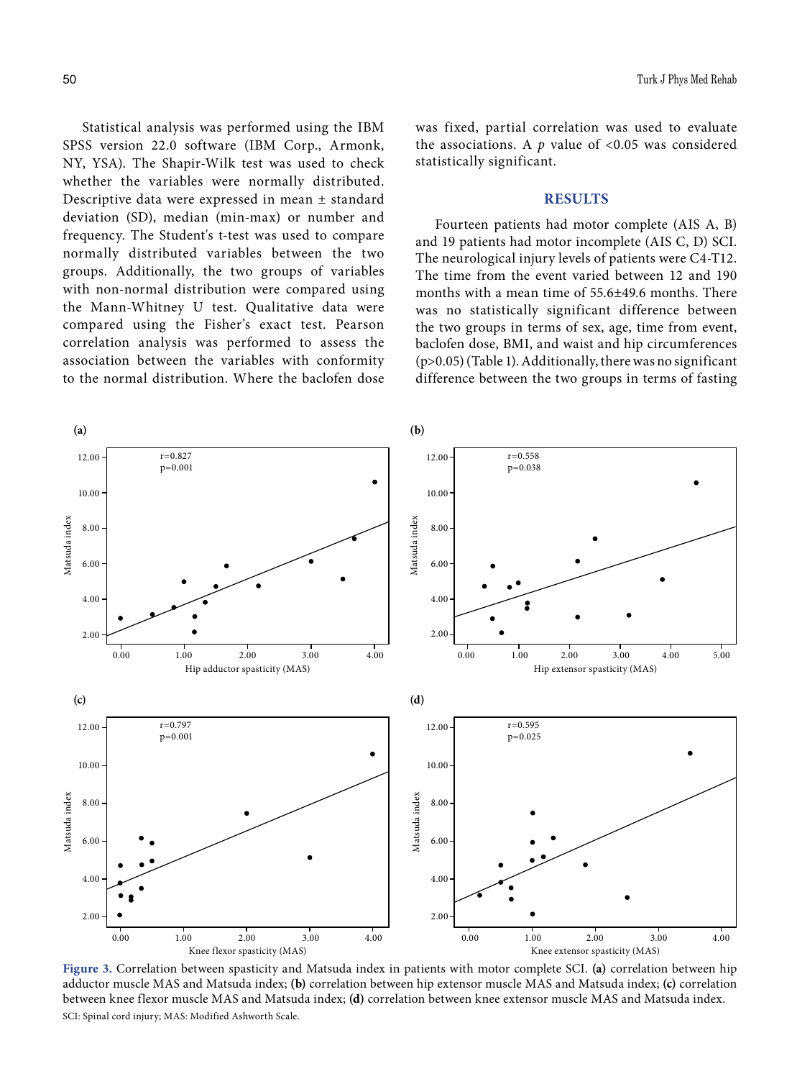Statistical analysis was performed using the IBM SPSS version 22.0 software (IBM Corp., Armonk, NY, YSA). The Shapir-Wilk test was used to check whether the variables were normally distributed. Descriptive data were expressed in mean ± standard deviation (SD), median (min-max) or number and frequency. The Student's t-test was used to compare normally distributed variables between the two groups. Additionally, the two groups of variables with non-normal distribution were compared using the Mann-Whitney U test. Qualitative data were compared using the Fisher's exact test. Pearson correlation analysis was performed to assess the association between the variables with conformity to the normal distribution. Where the baclofen dose was fixed, partial correlation was used to evaluate the associations. A  $p$  value of <0.05 was considered statistically significant.

# **RESULTS**

Fourteen patients had motor complete (AIS A, B) and 19 patients had motor incomplete (AIS C, D) SCI. The neurological injury levels of patients were C4-T12. The time from the event varied between 12 and 190 months with a mean time of 55.6±49.6 months. There was no statistically significant difference between the two groups in terms of sex, age, time from event, baclofen dose, BMI, and waist and hip circumferences (p>0.05) (Table 1). Additionally, there was no significant difference between the two groups in terms of fasting



**Figure 3.** Correlation between spasticity and Matsuda index in patients with motor complete SCI. **(a)** correlation between hip adductor muscle MAS and Matsuda index; **(b)** correlation between hip extensor muscle MAS and Matsuda index; **(c)** correlation between knee flexor muscle MAS and Matsuda index; **(d)** correlation between knee extensor muscle MAS and Matsuda index. SCI: Spinal cord injury; MAS: Modified Ashworth Scale.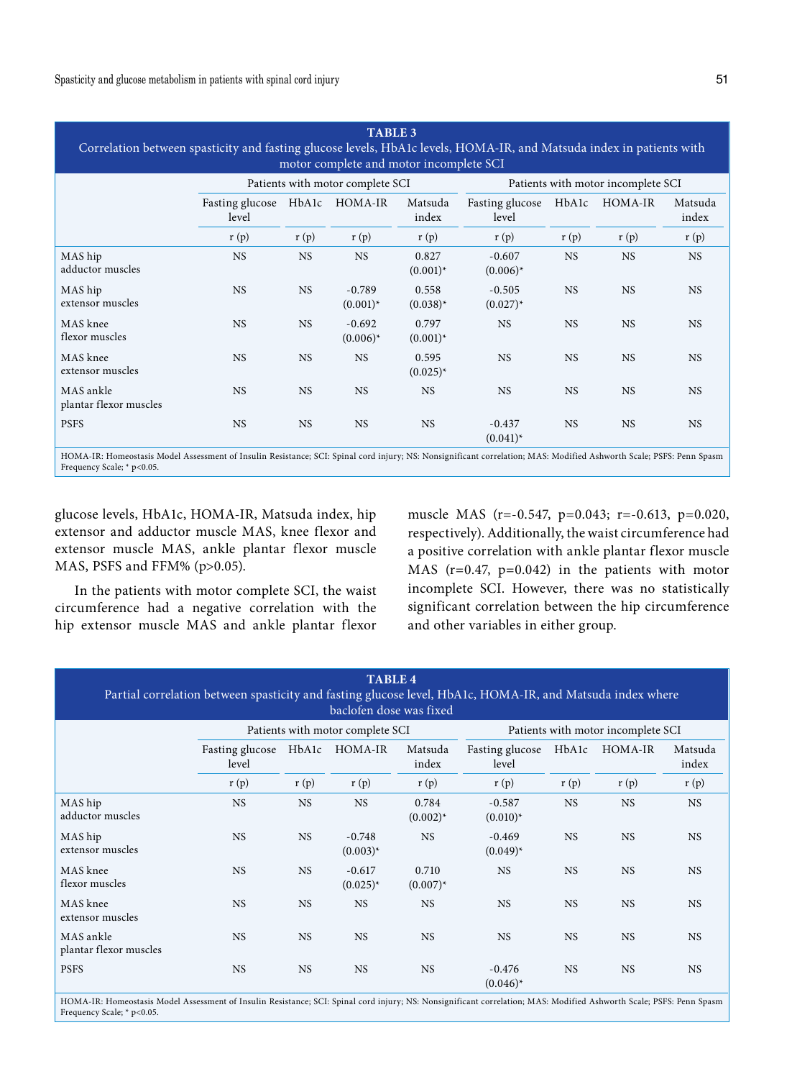| <b>TABLE 3</b><br>Correlation between spasticity and fasting glucose levels, HbA1c levels, HOMA-IR, and Matsuda index in patients with<br>motor complete and motor incomplete SCI |                          |           |                                  |                        |                                    |           |           |                  |  |  |  |
|-----------------------------------------------------------------------------------------------------------------------------------------------------------------------------------|--------------------------|-----------|----------------------------------|------------------------|------------------------------------|-----------|-----------|------------------|--|--|--|
|                                                                                                                                                                                   |                          |           | Patients with motor complete SCI |                        | Patients with motor incomplete SCI |           |           |                  |  |  |  |
|                                                                                                                                                                                   | Fasting glucose<br>level | HbA1c     | HOMA-IR                          | Matsuda<br>index       | Fasting glucose<br>level           | HbA1c     | HOMA-IR   | Matsuda<br>index |  |  |  |
|                                                                                                                                                                                   | r(p)                     | r(p)      | r(p)                             | r(p)                   | r(p)                               | r(p)      | r(p)      | r(p)             |  |  |  |
| MAS hip<br>adductor muscles                                                                                                                                                       | <b>NS</b>                | <b>NS</b> | <b>NS</b>                        | 0.827<br>$(0.001)^*$   | $-0.607$<br>$(0.006)^*$            | <b>NS</b> | <b>NS</b> | <b>NS</b>        |  |  |  |
| MAS hip<br>extensor muscles                                                                                                                                                       | <b>NS</b>                | <b>NS</b> | $-0.789$<br>$(0.001)^{*}$        | 0.558<br>$(0.038)^*$   | $-0.505$<br>$(0.027)^{*}$          | <b>NS</b> | <b>NS</b> | <b>NS</b>        |  |  |  |
| MAS knee<br>flexor muscles                                                                                                                                                        | <b>NS</b>                | <b>NS</b> | $-0.692$<br>$(0.006)^*$          | 0.797<br>$(0.001)^*$   | <b>NS</b>                          | <b>NS</b> | <b>NS</b> | <b>NS</b>        |  |  |  |
| MAS knee<br>extensor muscles                                                                                                                                                      | <b>NS</b>                | <b>NS</b> | <b>NS</b>                        | 0.595<br>$(0.025)^{*}$ | <b>NS</b>                          | <b>NS</b> | <b>NS</b> | <b>NS</b>        |  |  |  |
| MAS ankle<br>plantar flexor muscles                                                                                                                                               | <b>NS</b>                | <b>NS</b> | <b>NS</b>                        | <b>NS</b>              | <b>NS</b>                          | <b>NS</b> | <b>NS</b> | <b>NS</b>        |  |  |  |
| <b>PSFS</b>                                                                                                                                                                       | <b>NS</b>                | <b>NS</b> | <b>NS</b>                        | <b>NS</b>              | $-0.437$<br>$(0.041)^{*}$          | <b>NS</b> | <b>NS</b> | <b>NS</b>        |  |  |  |

HOMA-IR: Homeostasis Model Assessment of Insulin Resistance; SCI: Spinal cord injury; NS: Nonsignificant correlation; MAS: Modified Ashworth Scale; PSFS: Penn Spasm Frequency Scale; \* p<0.05.

glucose levels, HbA1c, HOMA-IR, Matsuda index, hip extensor and adductor muscle MAS, knee flexor and extensor muscle MAS, ankle plantar flexor muscle MAS, PSFS and FFM% (p>0.05).

In the patients with motor complete SCI, the waist circumference had a negative correlation with the hip extensor muscle MAS and ankle plantar flexor muscle MAS (r=-0.547, p=0.043; r=-0.613, p=0.020, respectively). Additionally, the waist circumference had a positive correlation with ankle plantar flexor muscle MAS (r=0.47, p=0.042) in the patients with motor incomplete SCI. However, there was no statistically significant correlation between the hip circumference and other variables in either group.

| <b>TABLE 4</b><br>Partial correlation between spasticity and fasting glucose level, HbA1c, HOMA-IR, and Matsuda index where<br>baclofen dose was fixed |                          |           |                                  |                        |                                    |           |           |                  |  |  |  |
|--------------------------------------------------------------------------------------------------------------------------------------------------------|--------------------------|-----------|----------------------------------|------------------------|------------------------------------|-----------|-----------|------------------|--|--|--|
|                                                                                                                                                        |                          |           | Patients with motor complete SCI |                        | Patients with motor incomplete SCI |           |           |                  |  |  |  |
|                                                                                                                                                        | Fasting glucose<br>level | HbA1c     | HOMA-IR                          | Matsuda<br>index       | Fasting glucose<br>level           | HbA1c     | HOMA-IR   | Matsuda<br>index |  |  |  |
|                                                                                                                                                        | r(p)                     | r(p)      | r(p)                             | r(p)                   | r(p)                               | r(p)      | r(p)      | r(p)             |  |  |  |
| MAS hip<br>adductor muscles                                                                                                                            | <b>NS</b>                | <b>NS</b> | <b>NS</b>                        | 0.784<br>$(0.002)^{*}$ | $-0.587$<br>$(0.010)^*$            | <b>NS</b> | <b>NS</b> | <b>NS</b>        |  |  |  |
| MAS hip<br>extensor muscles                                                                                                                            | <b>NS</b>                | <b>NS</b> | $-0.748$<br>$(0.003)^*$          | <b>NS</b>              | $-0.469$<br>$(0.049)^{*}$          | <b>NS</b> | <b>NS</b> | <b>NS</b>        |  |  |  |
| MAS knee<br>flexor muscles                                                                                                                             | <b>NS</b>                | <b>NS</b> | $-0.617$<br>$(0.025)^{*}$        | 0.710<br>$(0.007)^*$   | <b>NS</b>                          | <b>NS</b> | <b>NS</b> | <b>NS</b>        |  |  |  |
| MAS knee<br>extensor muscles                                                                                                                           | <b>NS</b>                | <b>NS</b> | <b>NS</b>                        | <b>NS</b>              | <b>NS</b>                          | <b>NS</b> | <b>NS</b> | <b>NS</b>        |  |  |  |
| MAS ankle<br>plantar flexor muscles                                                                                                                    | <b>NS</b>                | <b>NS</b> | <b>NS</b>                        | <b>NS</b>              | <b>NS</b>                          | <b>NS</b> | <b>NS</b> | <b>NS</b>        |  |  |  |
| <b>PSFS</b>                                                                                                                                            | <b>NS</b>                | <b>NS</b> | <b>NS</b>                        | <b>NS</b>              | $-0.476$<br>$(0.046)^*$            | <b>NS</b> | <b>NS</b> | <b>NS</b>        |  |  |  |

HOMA-IR: Homeostasis Model Assessment of Insulin Resistance; SCI: Spinal cord injury; NS: Nonsignificant correlation; MAS: Modified Ashworth Scale; PSFS: Penn Spasm Frequency Scale; \* p<0.05.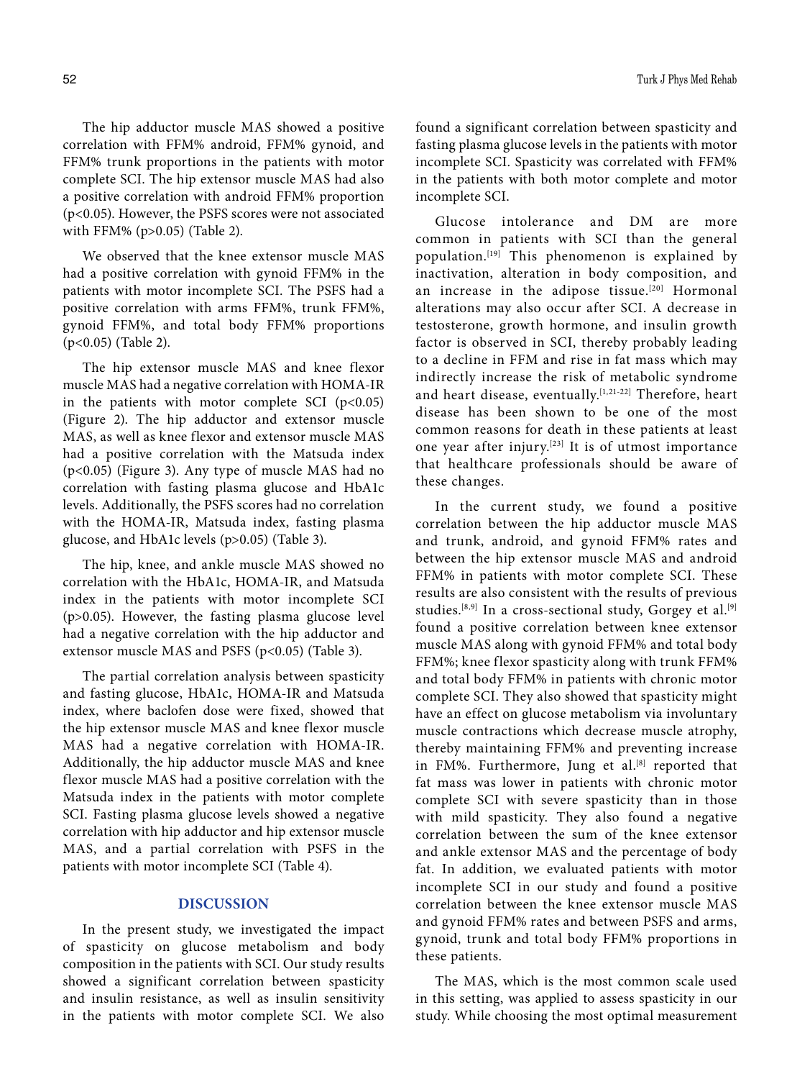The hip adductor muscle MAS showed a positive correlation with FFM% android, FFM% gynoid, and FFM% trunk proportions in the patients with motor complete SCI. The hip extensor muscle MAS had also a positive correlation with android FFM% proportion (p<0.05). However, the PSFS scores were not associated with FFM% (p>0.05) (Table 2).

We observed that the knee extensor muscle MAS had a positive correlation with gynoid FFM% in the patients with motor incomplete SCI. The PSFS had a positive correlation with arms FFM%, trunk FFM%, gynoid FFM%, and total body FFM% proportions (p<0.05) (Table 2).

The hip extensor muscle MAS and knee flexor muscle MAS had a negative correlation with HOMA-IR in the patients with motor complete SCI  $(p<0.05)$ (Figure 2). The hip adductor and extensor muscle MAS, as well as knee flexor and extensor muscle MAS had a positive correlation with the Matsuda index (p<0.05) (Figure 3). Any type of muscle MAS had no correlation with fasting plasma glucose and HbA1c levels. Additionally, the PSFS scores had no correlation with the HOMA-IR, Matsuda index, fasting plasma glucose, and HbA1c levels (p>0.05) (Table 3).

The hip, knee, and ankle muscle MAS showed no correlation with the HbA1c, HOMA-IR, and Matsuda index in the patients with motor incomplete SCI (p>0.05). However, the fasting plasma glucose level had a negative correlation with the hip adductor and extensor muscle MAS and PSFS (p<0.05) (Table 3).

The partial correlation analysis between spasticity and fasting glucose, HbA1c, HOMA-IR and Matsuda index, where baclofen dose were fixed, showed that the hip extensor muscle MAS and knee flexor muscle MAS had a negative correlation with HOMA-IR. Additionally, the hip adductor muscle MAS and knee flexor muscle MAS had a positive correlation with the Matsuda index in the patients with motor complete SCI. Fasting plasma glucose levels showed a negative correlation with hip adductor and hip extensor muscle MAS, and a partial correlation with PSFS in the patients with motor incomplete SCI (Table 4).

# **DISCUSSION**

In the present study, we investigated the impact of spasticity on glucose metabolism and body composition in the patients with SCI. Our study results showed a significant correlation between spasticity and insulin resistance, as well as insulin sensitivity in the patients with motor complete SCI. We also found a significant correlation between spasticity and fasting plasma glucose levels in the patients with motor incomplete SCI. Spasticity was correlated with FFM% in the patients with both motor complete and motor incomplete SCI.

Glucose intolerance and DM are more common in patients with SCI than the general population.[19] This phenomenon is explained by inactivation, alteration in body composition, and an increase in the adipose tissue.<sup>[20]</sup> Hormonal alterations may also occur after SCI. A decrease in testosterone, growth hormone, and insulin growth factor is observed in SCI, thereby probably leading to a decline in FFM and rise in fat mass which may indirectly increase the risk of metabolic syndrome and heart disease, eventually.<sup>[1,21-22]</sup> Therefore, heart disease has been shown to be one of the most common reasons for death in these patients at least one year after injury.[23] It is of utmost importance that healthcare professionals should be aware of these changes.

In the current study, we found a positive correlation between the hip adductor muscle MAS and trunk, android, and gynoid FFM% rates and between the hip extensor muscle MAS and android FFM% in patients with motor complete SCI. These results are also consistent with the results of previous studies.<sup>[8,9]</sup> In a cross-sectional study, Gorgey et al.<sup>[9]</sup> found a positive correlation between knee extensor muscle MAS along with gynoid FFM% and total body FFM%; knee flexor spasticity along with trunk FFM% and total body FFM% in patients with chronic motor complete SCI. They also showed that spasticity might have an effect on glucose metabolism via involuntary muscle contractions which decrease muscle atrophy, thereby maintaining FFM% and preventing increase in FM%. Furthermore, Jung et al.<sup>[8]</sup> reported that fat mass was lower in patients with chronic motor complete SCI with severe spasticity than in those with mild spasticity. They also found a negative correlation between the sum of the knee extensor and ankle extensor MAS and the percentage of body fat. In addition, we evaluated patients with motor incomplete SCI in our study and found a positive correlation between the knee extensor muscle MAS and gynoid FFM% rates and between PSFS and arms, gynoid, trunk and total body FFM% proportions in these patients.

The MAS, which is the most common scale used in this setting, was applied to assess spasticity in our study. While choosing the most optimal measurement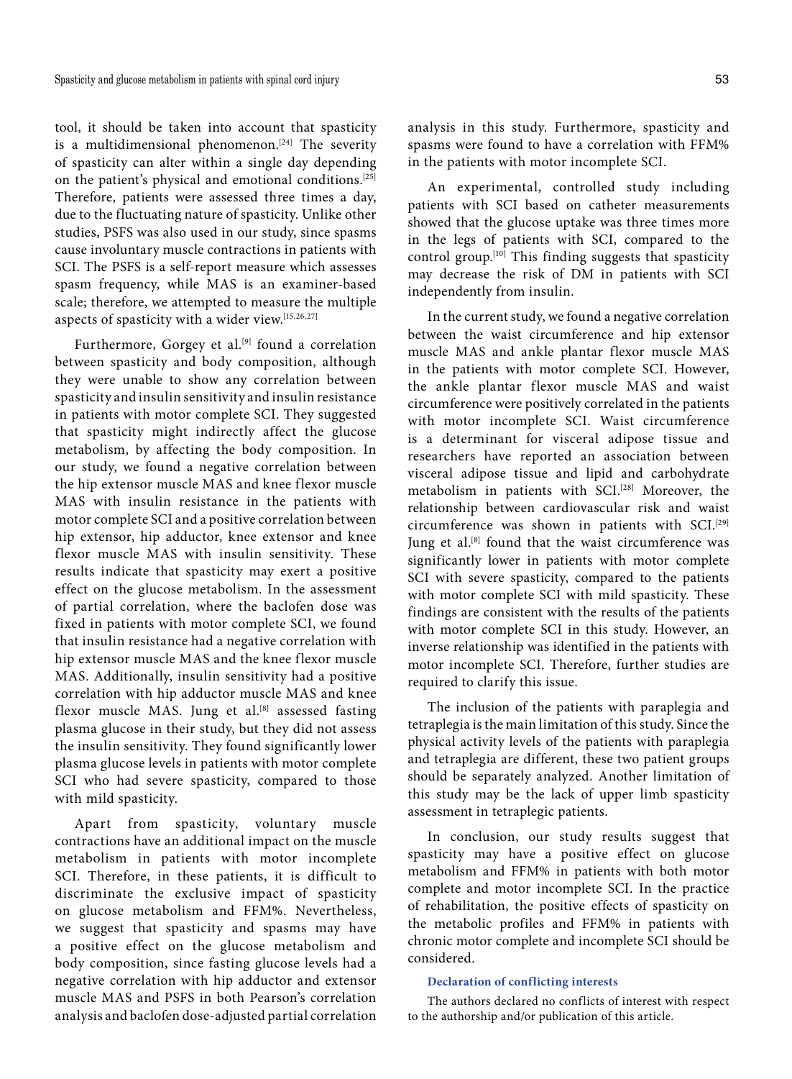tool, it should be taken into account that spasticity is a multidimensional phenomenon.<sup>[24]</sup> The severity of spasticity can alter within a single day depending on the patient's physical and emotional conditions.[25] Therefore, patients were assessed three times a day, due to the fluctuating nature of spasticity. Unlike other studies, PSFS was also used in our study, since spasms cause involuntary muscle contractions in patients with SCI. The PSFS is a self-report measure which assesses spasm frequency, while MAS is an examiner-based scale; therefore, we attempted to measure the multiple aspects of spasticity with a wider view.[15,26,27]

Furthermore, Gorgey et al.<sup>[9]</sup> found a correlation between spasticity and body composition, although they were unable to show any correlation between spasticity and insulin sensitivity and insulin resistance in patients with motor complete SCI. They suggested that spasticity might indirectly affect the glucose metabolism, by affecting the body composition. In our study, we found a negative correlation between the hip extensor muscle MAS and knee flexor muscle MAS with insulin resistance in the patients with motor complete SCI and a positive correlation between hip extensor, hip adductor, knee extensor and knee flexor muscle MAS with insulin sensitivity. These results indicate that spasticity may exert a positive effect on the glucose metabolism. In the assessment of partial correlation, where the baclofen dose was fixed in patients with motor complete SCI, we found that insulin resistance had a negative correlation with hip extensor muscle MAS and the knee flexor muscle MAS. Additionally, insulin sensitivity had a positive correlation with hip adductor muscle MAS and knee flexor muscle MAS. Jung et al.<sup>[8]</sup> assessed fasting plasma glucose in their study, but they did not assess the insulin sensitivity. They found significantly lower plasma glucose levels in patients with motor complete SCI who had severe spasticity, compared to those with mild spasticity.

Apart from spasticity, voluntary muscle contractions have an additional impact on the muscle metabolism in patients with motor incomplete SCI. Therefore, in these patients, it is difficult to discriminate the exclusive impact of spasticity on glucose metabolism and FFM%. Nevertheless, we suggest that spasticity and spasms may have a positive effect on the glucose metabolism and body composition, since fasting glucose levels had a negative correlation with hip adductor and extensor muscle MAS and PSFS in both Pearson's correlation analysis and baclofen dose-adjusted partial correlation analysis in this study. Furthermore, spasticity and spasms were found to have a correlation with FFM% in the patients with motor incomplete SCI.

An experimental, controlled study including patients with SCI based on catheter measurements showed that the glucose uptake was three times more in the legs of patients with SCI, compared to the control group.[10] This finding suggests that spasticity may decrease the risk of DM in patients with SCI independently from insulin.

In the current study, we found a negative correlation between the waist circumference and hip extensor muscle MAS and ankle plantar flexor muscle MAS in the patients with motor complete SCI. However, the ankle plantar flexor muscle MAS and waist circumference were positively correlated in the patients with motor incomplete SCI. Waist circumference is a determinant for visceral adipose tissue and researchers have reported an association between visceral adipose tissue and lipid and carbohydrate metabolism in patients with SCI.[28] Moreover, the relationship between cardiovascular risk and waist circumference was shown in patients with SCI.<sup>[29]</sup> Jung et al.<sup>[8]</sup> found that the waist circumference was significantly lower in patients with motor complete SCI with severe spasticity, compared to the patients with motor complete SCI with mild spasticity. These findings are consistent with the results of the patients with motor complete SCI in this study. However, an inverse relationship was identified in the patients with motor incomplete SCI. Therefore, further studies are required to clarify this issue.

The inclusion of the patients with paraplegia and tetraplegia is the main limitation of this study. Since the physical activity levels of the patients with paraplegia and tetraplegia are different, these two patient groups should be separately analyzed. Another limitation of this study may be the lack of upper limb spasticity assessment in tetraplegic patients.

In conclusion, our study results suggest that spasticity may have a positive effect on glucose metabolism and FFM% in patients with both motor complete and motor incomplete SCI. In the practice of rehabilitation, the positive effects of spasticity on the metabolic profiles and FFM% in patients with chronic motor complete and incomplete SCI should be considered.

#### **Declaration of conflicting interests**

The authors declared no conflicts of interest with respect to the authorship and/or publication of this article.